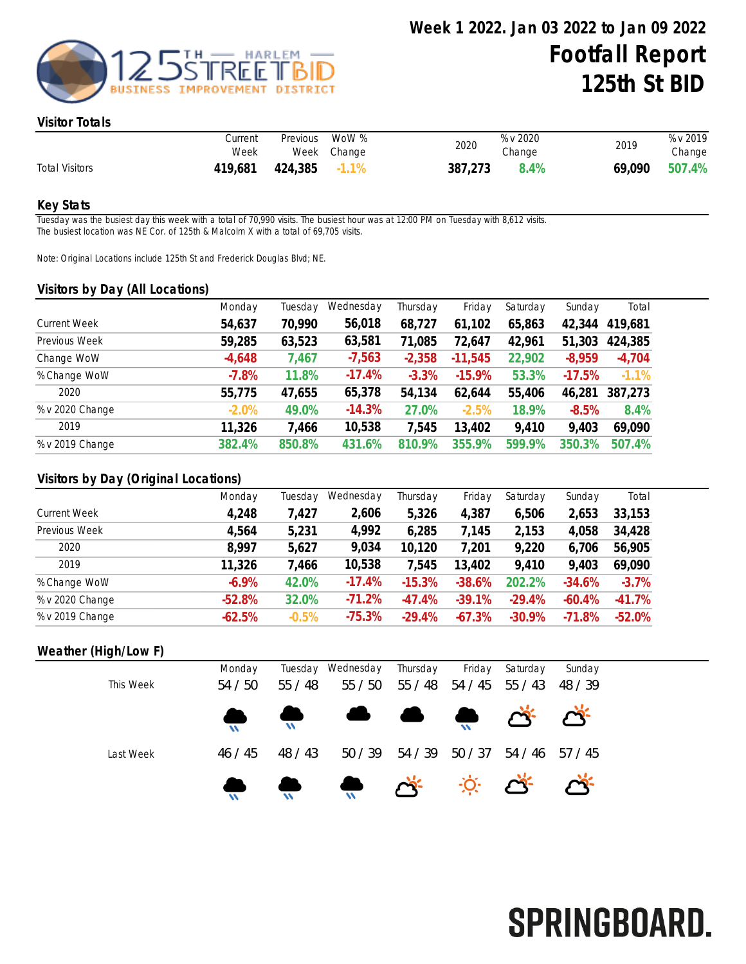

#### Visitor Totals

|                       | Current<br>Week | Previous      | WoW %<br>Week Change | 2020    | % v 2020<br>Change | 2019 | % v 2019<br>Change |
|-----------------------|-----------------|---------------|----------------------|---------|--------------------|------|--------------------|
| <b>Total Visitors</b> | 419,681         | 424,385 -1.1% |                      | 387,273 | 8.4%               |      | 69,090 507.4%      |

#### Key Stats

Tuesday was the busiest day this week with a total of 70,990 visits. The busiest hour was at 12:00 PM on Tuesday with 8,612 visits. The busiest location was NE Cor. of 125th & Malcolm X with a total of 69,705 visits.

Note: Original Locations include 125th St and Frederick Douglas Blvd; NE.

#### Visitors by Day (All Locations)

| $\overline{\phantom{a}}$<br><u>,</u> |          |         |           |          |           |          |          |          |
|--------------------------------------|----------|---------|-----------|----------|-----------|----------|----------|----------|
|                                      | Monday   | Tuesday | Wednesday | Thursday | Friday    | Saturday | Sunday   | Total    |
| <b>Current Week</b>                  | 54,637   | 70,990  | 56,018    | 68,727   | 61,102    | 65,863   | 42,344   | 419,681  |
| Previous Week                        | 59,285   | 63,523  | 63,581    | 71,085   | 72,647    | 42,961   | 51,303   | 424,385  |
| Change WoW                           | $-4,648$ | 7,467   | $-7,563$  | $-2,358$ | $-11,545$ | 22,902   | $-8,959$ | $-4,704$ |
| % Change WoW                         | $-7.8%$  | 11.8%   | $-17.4%$  | $-3.3%$  | $-15.9%$  | 53.3%    | $-17.5%$ | $-1.1%$  |
| 2020                                 | 55,775   | 47,655  | 65,378    | 54,134   | 62,644    | 55,406   | 46,281   | 387,273  |
| % v 2020 Change                      | $-2.0%$  | 49.0%   | $-14.3%$  | 27.0%    | $-2.5%$   | 18.9%    | $-8.5%$  | 8.4%     |
| 2019                                 | 11,326   | 7,466   | 10,538    | 7,545    | 13,402    | 9,410    | 9,403    | 69,090   |
| % v 2019 Change                      | 382.4%   | 850.8%  | 431.6%    | 810.9%   | 355.9%    | 599.9%   | 350.3%   | 507.4%   |
|                                      |          |         |           |          |           |          |          |          |

### Visitors by Day (Original Locations)

|                     | Monday   | Tuesdav | Wednesday | Thursday | Friday   | Saturday  | Sunday   | Total    |
|---------------------|----------|---------|-----------|----------|----------|-----------|----------|----------|
| <b>Current Week</b> | 4,248    | 7,427   | 2,606     | 5,326    | 4,387    | 6,506     | 2,653    | 33,153   |
| Previous Week       | 4,564    | 5,231   | 4,992     | 6,285    | 7,145    | 2,153     | 4,058    | 34,428   |
| 2020                | 8,997    | 5,627   | 9,034     | 10.120   | 7,201    | 9,220     | 6,706    | 56,905   |
| 2019                | 11,326   | 7,466   | 10,538    | 7,545    | 13,402   | 9,410     | 9,403    | 69,090   |
| % Change WoW        | $-6.9\%$ | 42.0%   | $-17.4%$  | $-15.3%$ | $-38.6%$ | 202.2%    | $-34.6%$ | $-3.7%$  |
| % v 2020 Change     | $-52.8%$ | 32.0%   | $-71.2%$  | $-47.4%$ | $-39.1%$ | $-29.4%$  | $-60.4%$ | $-41.7%$ |
| % v 2019 Change     | $-62.5%$ | $-0.5%$ | $-75.3%$  | $-29.4%$ | $-67.3%$ | $-30.9\%$ | $-71.8%$ | $-52.0%$ |

#### Weather (High/Low F)

|           | Monday  | Tuesday | Wednesday                                                                                                                                                                                                                                                                                                                                           | Thursday | Friday  | Saturday | Sunday  |
|-----------|---------|---------|-----------------------------------------------------------------------------------------------------------------------------------------------------------------------------------------------------------------------------------------------------------------------------------------------------------------------------------------------------|----------|---------|----------|---------|
| This Week | 54/50   | 55 / 48 | 55/50                                                                                                                                                                                                                                                                                                                                               | 55/48    | 54 / 45 | 55 / 43  | 48 / 39 |
|           |         |         | $\begin{picture}(150,10) \put(0,0){\line(1,0){10}} \put(15,0){\line(1,0){10}} \put(15,0){\line(1,0){10}} \put(15,0){\line(1,0){10}} \put(15,0){\line(1,0){10}} \put(15,0){\line(1,0){10}} \put(15,0){\line(1,0){10}} \put(15,0){\line(1,0){10}} \put(15,0){\line(1,0){10}} \put(15,0){\line(1,0){10}} \put(15,0){\line(1,0){10}} \put(15,0){\line($ |          |         |          |         |
| Last Week | 46 / 45 | 48 / 43 | 50/39                                                                                                                                                                                                                                                                                                                                               | 54 / 39  | 50 / 37 | 54 / 46  | 57 / 45 |
|           |         |         |                                                                                                                                                                                                                                                                                                                                                     |          |         |          |         |

# SPRINGBOARD.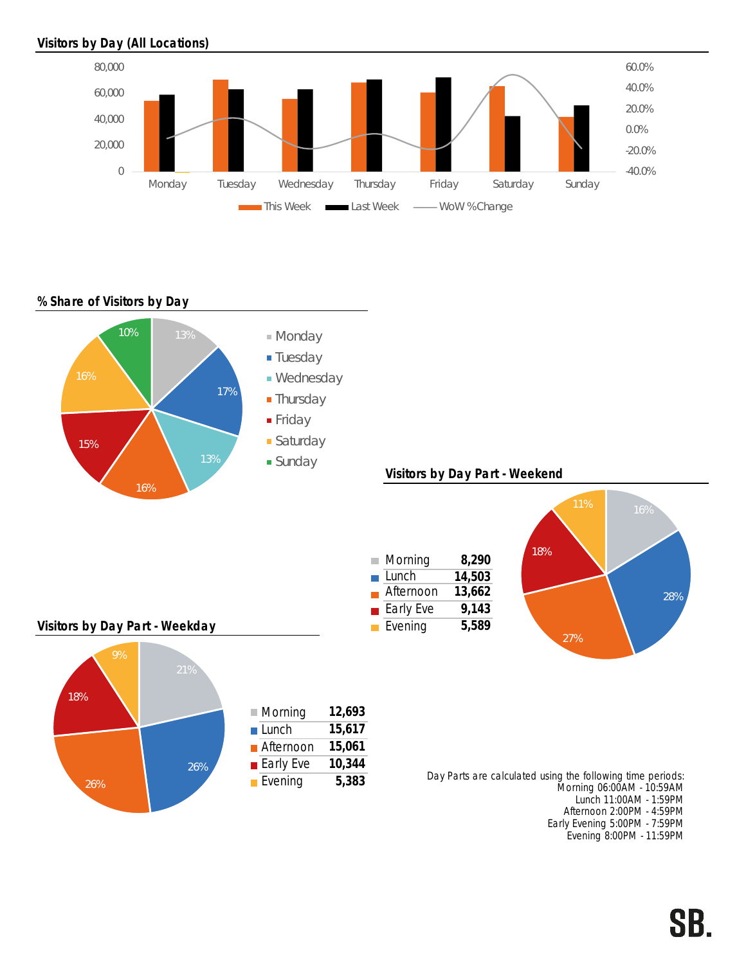# Visitors by Day (All Locations)



## % Share of Visitors by Day



SB.

Early Evening 5:00PM - 7:59PM Evening 8:00PM - 11:59PM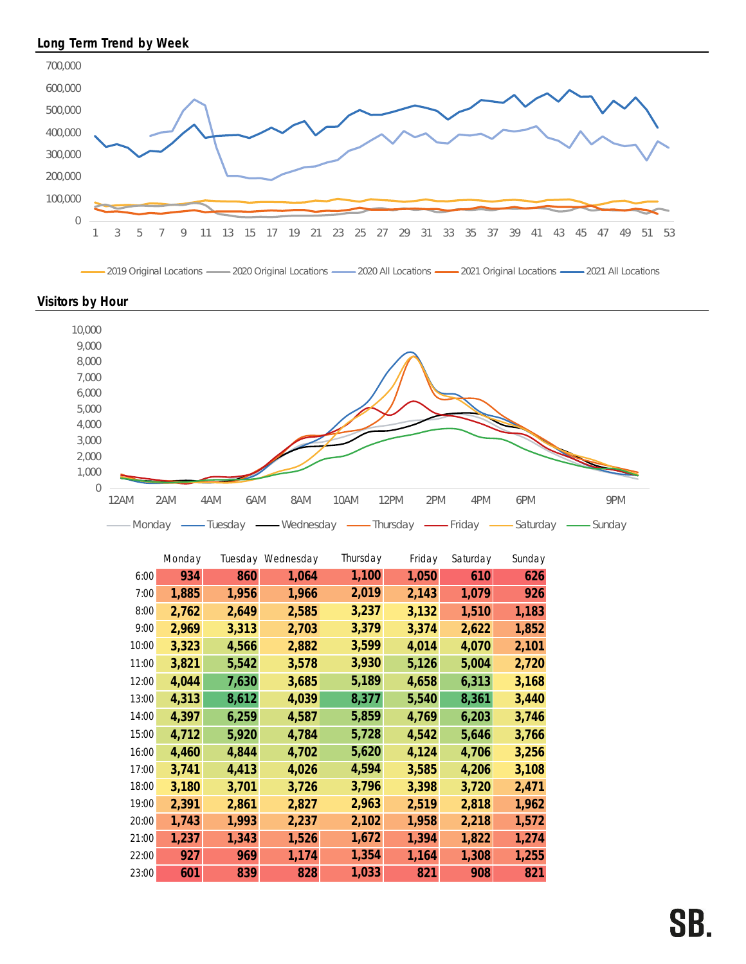

2019 Original Locations 2020 Original Locations 2020 All Locations 2021 Original Locations 2021 All Locations





|       | Monday |       | Tuesday Wednesday | Thursday | Friday | Saturday | Sunday |
|-------|--------|-------|-------------------|----------|--------|----------|--------|
| 6:00  | 934    | 860   | 1,064             | 1,100    | 1,050  | 610      | 626    |
| 7:00  | 1,885  | 1,956 | 1,966             | 2,019    | 2,143  | 1,079    | 926    |
| 8:00  | 2,762  | 2,649 | 2,585             | 3,237    | 3,132  | 1,510    | 1,183  |
| 9:00  | 2,969  | 3,313 | 2,703             | 3,379    | 3,374  | 2,622    | 1,852  |
| 10:00 | 3,323  | 4,566 | 2,882             | 3,599    | 4,014  | 4,070    | 2,101  |
| 11:00 | 3,821  | 5,542 | 3,578             | 3,930    | 5,126  | 5,004    | 2,720  |
| 12:00 | 4,044  | 7,630 | 3,685             | 5,189    | 4,658  | 6,313    | 3,168  |
| 13:00 | 4,313  | 8,612 | 4,039             | 8,377    | 5,540  | 8,361    | 3,440  |
| 14:00 | 4,397  | 6,259 | 4,587             | 5,859    | 4,769  | 6,203    | 3,746  |
| 15:00 | 4,712  | 5,920 | 4,784             | 5,728    | 4,542  | 5,646    | 3,766  |
| 16:00 | 4,460  | 4,844 | 4,702             | 5,620    | 4,124  | 4,706    | 3,256  |
| 17:00 | 3,741  | 4,413 | 4,026             | 4,594    | 3,585  | 4,206    | 3,108  |
| 18:00 | 3,180  | 3,701 | 3,726             | 3,796    | 3,398  | 3,720    | 2,471  |
| 19:00 | 2,391  | 2,861 | 2,827             | 2,963    | 2,519  | 2,818    | 1,962  |
| 20:00 | 1,743  | 1,993 | 2,237             | 2,102    | 1,958  | 2,218    | 1,572  |
| 21:00 | 1,237  | 1,343 | 1,526             | 1,672    | 1,394  | 1,822    | 1,274  |
| 22:00 | 927    | 969   | 1,174             | 1,354    | 1,164  | 1,308    | 1,255  |
| 23:00 | 601    | 839   | 828               | 1,033    | 821    | 908      | 821    |